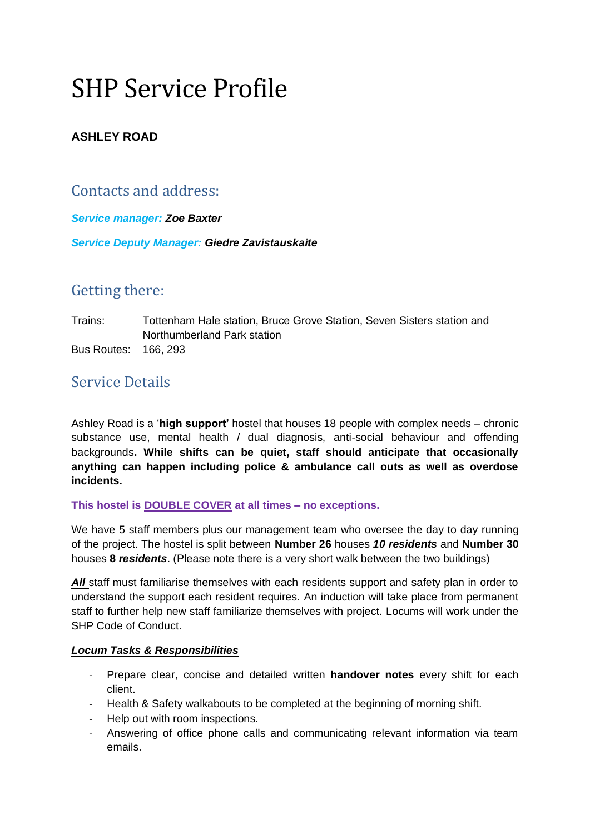# SHP Service Profile

### **ASHLEY ROAD**

## Contacts and address:

*Service manager: Zoe Baxter Service Deputy Manager: Giedre Zavistauskaite*

## Getting there:

Trains: Tottenham Hale station, Bruce Grove Station, Seven Sisters station and Northumberland Park station Bus Routes: 166, 293

## Service Details

Ashley Road is a '**high support'** hostel that houses 18 people with complex needs – chronic substance use, mental health / dual diagnosis, anti-social behaviour and offending backgrounds**. While shifts can be quiet, staff should anticipate that occasionally anything can happen including police & ambulance call outs as well as overdose incidents.**

#### **This hostel is DOUBLE COVER at all times – no exceptions.**

We have 5 staff members plus our management team who oversee the day to day running of the project. The hostel is split between **Number 26** houses *10 residents* and **Number 30**  houses **8** *residents*. (Please note there is a very short walk between the two buildings)

**All staff must familiarise themselves with each residents support and safety plan in order to** understand the support each resident requires. An induction will take place from permanent staff to further help new staff familiarize themselves with project. Locums will work under the SHP Code of Conduct.

#### *Locum Tasks & Responsibilities*

- Prepare clear, concise and detailed written **handover notes** every shift for each client.
- Health & Safety walkabouts to be completed at the beginning of morning shift.
- Help out with room inspections.
- Answering of office phone calls and communicating relevant information via team emails.